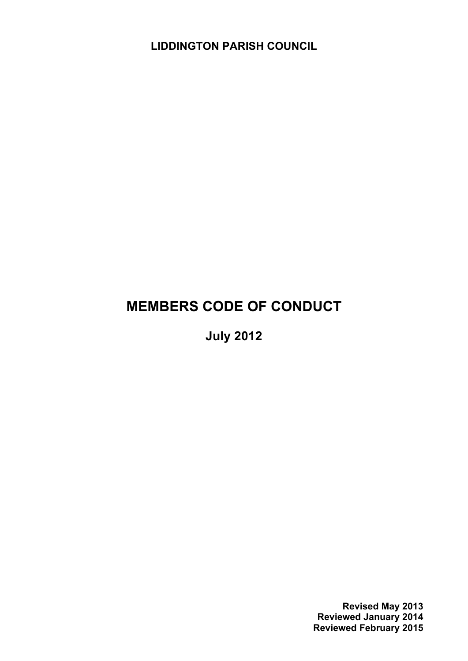**LIDDINGTON PARISH COUNCIL**

# **MEMBERS CODE OF CONDUCT**

**July 2012**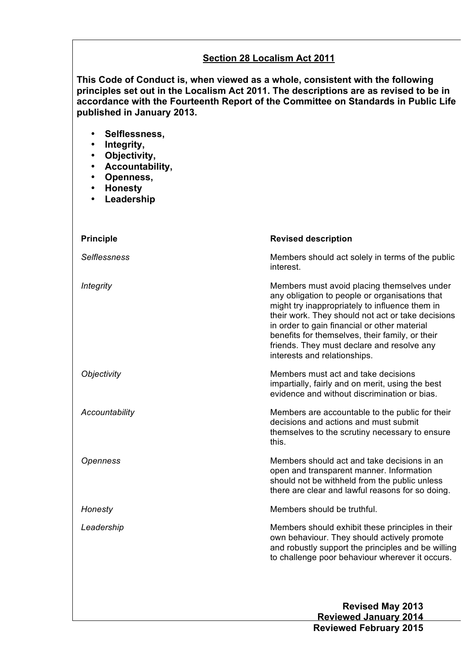#### **Section 28 Localism Act 2011**

**This Code of Conduct is, when viewed as a whole, consistent with the following principles set out in the Localism Act 2011. The descriptions are as revised to be in accordance with the Fourteenth Report of the Committee on Standards in Public Life published in January 2013.**

- **Selflessness,**
- **Integrity,**
- **Objectivity,**
- **Accountability,**
- **Openness,**
- **Honesty**
- **Leadership**

| <b>Principle</b>    | <b>Revised description</b>                                                                                                                                                                                                                                                                                                                                                            |
|---------------------|---------------------------------------------------------------------------------------------------------------------------------------------------------------------------------------------------------------------------------------------------------------------------------------------------------------------------------------------------------------------------------------|
| <b>Selflessness</b> | Members should act solely in terms of the public<br>interest.                                                                                                                                                                                                                                                                                                                         |
| Integrity           | Members must avoid placing themselves under<br>any obligation to people or organisations that<br>might try inappropriately to influence them in<br>their work. They should not act or take decisions<br>in order to gain financial or other material<br>benefits for themselves, their family, or their<br>friends. They must declare and resolve any<br>interests and relationships. |
| Objectivity         | Members must act and take decisions<br>impartially, fairly and on merit, using the best<br>evidence and without discrimination or bias.                                                                                                                                                                                                                                               |
| Accountability      | Members are accountable to the public for their<br>decisions and actions and must submit<br>themselves to the scrutiny necessary to ensure<br>this.                                                                                                                                                                                                                                   |
| Openness            | Members should act and take decisions in an<br>open and transparent manner. Information<br>should not be withheld from the public unless<br>there are clear and lawful reasons for so doing.                                                                                                                                                                                          |
| Honesty             | Members should be truthful.                                                                                                                                                                                                                                                                                                                                                           |
| Leadership          | Members should exhibit these principles in their<br>own behaviour. They should actively promote<br>and robustly support the principles and be willing<br>to challenge poor behaviour wherever it occurs.                                                                                                                                                                              |
|                     |                                                                                                                                                                                                                                                                                                                                                                                       |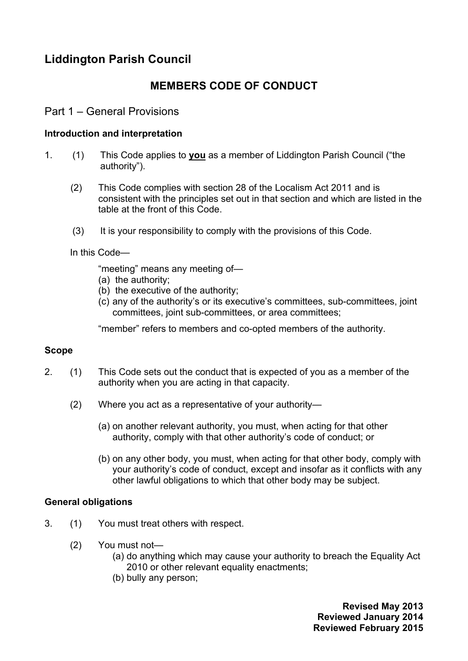# **Liddington Parish Council**

## **MEMBERS CODE OF CONDUCT**

#### Part 1 – General Provisions

#### **Introduction and interpretation**

- 1. (1) This Code applies to **you** as a member of Liddington Parish Council ("the authority").
	- (2) This Code complies with section 28 of the Localism Act 2011 and is consistent with the principles set out in that section and which are listed in the table at the front of this Code.
	- (3) It is your responsibility to comply with the provisions of this Code.

In this Code—

"meeting" means any meeting of—

- (a) the authority;
- (b) the executive of the authority;
- (c) any of the authority's or its executive's committees, sub-committees, joint committees, joint sub-committees, or area committees;

"member" refers to members and co-opted members of the authority.

#### **Scope**

- 2. (1) This Code sets out the conduct that is expected of you as a member of the authority when you are acting in that capacity.
	- (2) Where you act as a representative of your authority—
		- (a) on another relevant authority, you must, when acting for that other authority, comply with that other authority's code of conduct; or
		- (b) on any other body, you must, when acting for that other body, comply with your authority's code of conduct, except and insofar as it conflicts with any other lawful obligations to which that other body may be subject.

#### **General obligations**

- 3. (1) You must treat others with respect.
	- (2) You must not—
		- (a) do anything which may cause your authority to breach the Equality Act 2010 or other relevant equality enactments;
		- (b) bully any person;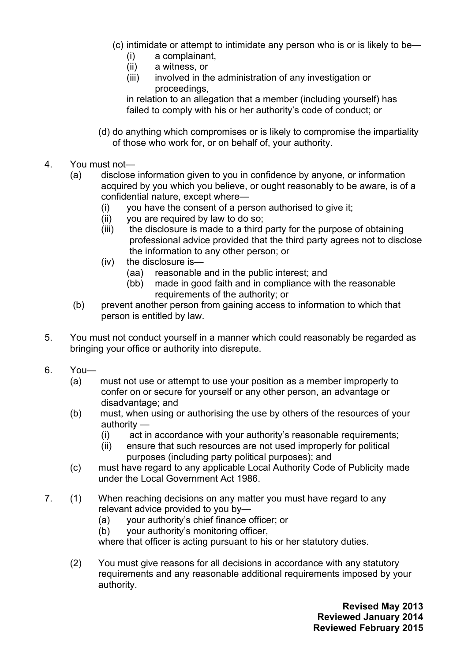- (c) intimidate or attempt to intimidate any person who is or is likely to be—
	- (i) a complainant,
	- (ii) a witness, or
	- (iii) involved in the administration of any investigation or proceedings,

in relation to an allegation that a member (including yourself) has failed to comply with his or her authority's code of conduct; or

- (d) do anything which compromises or is likely to compromise the impartiality of those who work for, or on behalf of, your authority.
- 4. You must not—
	- (a) disclose information given to you in confidence by anyone, or information acquired by you which you believe, or ought reasonably to be aware, is of a confidential nature, except where—
		- (i) you have the consent of a person authorised to give it;
		- (ii) you are required by law to do so;
		- (iii) the disclosure is made to a third party for the purpose of obtaining professional advice provided that the third party agrees not to disclose the information to any other person; or
		- (iv) the disclosure is—
			- (aa) reasonable and in the public interest; and
			- (bb) made in good faith and in compliance with the reasonable requirements of the authority; or
	- (b) prevent another person from gaining access to information to which that person is entitled by law.
- 5. You must not conduct yourself in a manner which could reasonably be regarded as bringing your office or authority into disrepute.
- 6. You—
	- (a) must not use or attempt to use your position as a member improperly to confer on or secure for yourself or any other person, an advantage or disadvantage; and
	- (b) must, when using or authorising the use by others of the resources of your authority —
		- (i) act in accordance with your authority's reasonable requirements;
		- (ii) ensure that such resources are not used improperly for political purposes (including party political purposes); and
	- (c) must have regard to any applicable Local Authority Code of Publicity made under the Local Government Act 1986.
- 7. (1) When reaching decisions on any matter you must have regard to any relevant advice provided to you by—
	- (a) your authority's chief finance officer; or
	- (b) your authority's monitoring officer,

where that officer is acting pursuant to his or her statutory duties.

(2) You must give reasons for all decisions in accordance with any statutory requirements and any reasonable additional requirements imposed by your authority.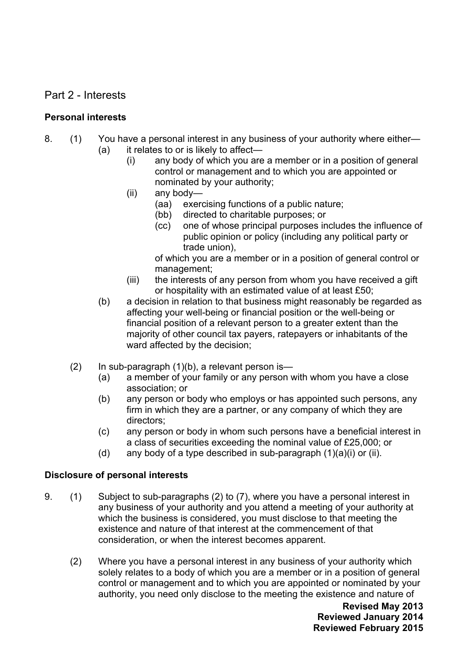### Part 2 - Interests

#### **Personal interests**

- 8. (1) You have a personal interest in any business of your authority where either— (a) it relates to or is likely to affect—
	- (i) any body of which you are a member or in a position of general control or management and to which you are appointed or nominated by your authority;
	- (ii) any body—
		- (aa) exercising functions of a public nature;
		- (bb) directed to charitable purposes; or
		- (cc) one of whose principal purposes includes the influence of public opinion or policy (including any political party or trade union),

of which you are a member or in a position of general control or management;

- (iii) the interests of any person from whom you have received a gift or hospitality with an estimated value of at least £50;
- (b) a decision in relation to that business might reasonably be regarded as affecting your well-being or financial position or the well-being or financial position of a relevant person to a greater extent than the majority of other council tax payers, ratepayers or inhabitants of the ward affected by the decision;
- $(2)$  In sub-paragraph  $(1)(b)$ , a relevant person is—
	- (a) a member of your family or any person with whom you have a close association; or
	- (b) any person or body who employs or has appointed such persons, any firm in which they are a partner, or any company of which they are directors;
	- (c) any person or body in whom such persons have a beneficial interest in a class of securities exceeding the nominal value of £25,000; or
	- (d) any body of a type described in sub-paragraph  $(1)(a)(i)$  or (ii).

#### **Disclosure of personal interests**

- 9. (1) Subject to sub-paragraphs (2) to (7), where you have a personal interest in any business of your authority and you attend a meeting of your authority at which the business is considered, you must disclose to that meeting the existence and nature of that interest at the commencement of that consideration, or when the interest becomes apparent.
	- (2) Where you have a personal interest in any business of your authority which solely relates to a body of which you are a member or in a position of general control or management and to which you are appointed or nominated by your authority, you need only disclose to the meeting the existence and nature of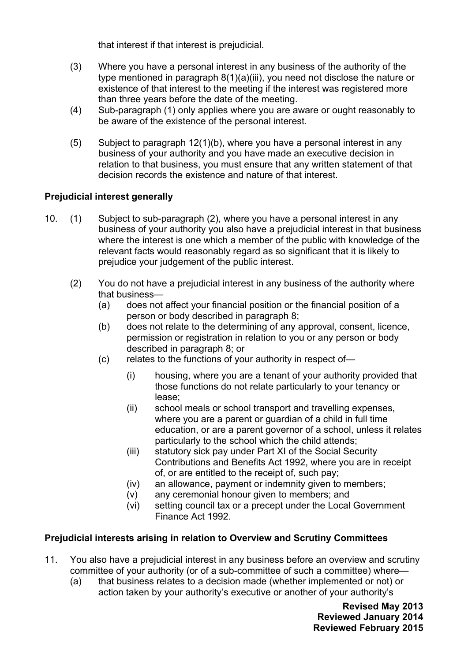that interest if that interest is prejudicial.

- (3) Where you have a personal interest in any business of the authority of the type mentioned in paragraph 8(1)(a)(iii), you need not disclose the nature or existence of that interest to the meeting if the interest was registered more than three years before the date of the meeting.
- (4) Sub-paragraph (1) only applies where you are aware or ought reasonably to be aware of the existence of the personal interest.
- (5) Subject to paragraph 12(1)(b), where you have a personal interest in any business of your authority and you have made an executive decision in relation to that business, you must ensure that any written statement of that decision records the existence and nature of that interest.

#### **Prejudicial interest generally**

- 10. (1) Subject to sub-paragraph (2), where you have a personal interest in any business of your authority you also have a prejudicial interest in that business where the interest is one which a member of the public with knowledge of the relevant facts would reasonably regard as so significant that it is likely to prejudice your judgement of the public interest.
	- (2) You do not have a prejudicial interest in any business of the authority where that business—
		- (a) does not affect your financial position or the financial position of a person or body described in paragraph 8;
		- (b) does not relate to the determining of any approval, consent, licence, permission or registration in relation to you or any person or body described in paragraph 8; or
		- (c) relates to the functions of your authority in respect of—
			- (i) housing, where you are a tenant of your authority provided that those functions do not relate particularly to your tenancy or lease;
			- (ii) school meals or school transport and travelling expenses, where you are a parent or guardian of a child in full time education, or are a parent governor of a school, unless it relates particularly to the school which the child attends;
			- (iii) statutory sick pay under Part XI of the Social Security Contributions and Benefits Act 1992, where you are in receipt of, or are entitled to the receipt of, such pay;
			- (iv) an allowance, payment or indemnity given to members;
			- (v) any ceremonial honour given to members; and
			- (vi) setting council tax or a precept under the Local Government Finance Act 1992.

#### **Prejudicial interests arising in relation to Overview and Scrutiny Committees**

- 11. You also have a prejudicial interest in any business before an overview and scrutiny committee of your authority (or of a sub-committee of such a committee) where—
	- (a) that business relates to a decision made (whether implemented or not) or action taken by your authority's executive or another of your authority's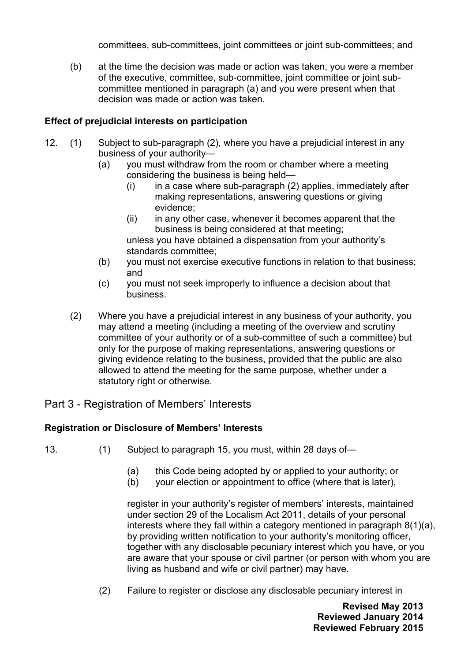committees, sub-committees, joint committees or joint sub-committees; and

(b) at the time the decision was made or action was taken, you were a member of the executive, committee, sub-committee, joint committee or joint subcommittee mentioned in paragraph (a) and you were present when that decision was made or action was taken.

#### **Effect of prejudicial interests on participation**

- 12. (1) Subject to sub-paragraph (2), where you have a prejudicial interest in any business of your authority—
	- (a) you must withdraw from the room or chamber where a meeting considering the business is being held—
		- $(i)$  in a case where sub-paragraph  $(2)$  applies, immediately after making representations, answering questions or giving evidence;
		- (ii) in any other case, whenever it becomes apparent that the business is being considered at that meeting; unless you have obtained a dispensation from your authority's standards committee;
	- (b) you must not exercise executive functions in relation to that business; and
	- (c) you must not seek improperly to influence a decision about that business.
	- (2) Where you have a prejudicial interest in any business of your authority, you may attend a meeting (including a meeting of the overview and scrutiny committee of your authority or of a sub-committee of such a committee) but only for the purpose of making representations, answering questions or giving evidence relating to the business, provided that the public are also allowed to attend the meeting for the same purpose, whether under a statutory right or otherwise.

### Part 3 - Registration of Members' Interests

#### **Registration or Disclosure of Members' Interests**

- 13. (1) Subject to paragraph 15, you must, within 28 days of—
	- (a) this Code being adopted by or applied to your authority; or
	- (b) your election or appointment to office (where that is later),

register in your authority's register of members' interests, maintained under section 29 of the Localism Act 2011, details of your personal interests where they fall within a category mentioned in paragraph 8(1)(a), by providing written notification to your authority's monitoring officer, together with any disclosable pecuniary interest which you have, or you are aware that your spouse or civil partner (or person with whom you are living as husband and wife or civil partner) may have.

(2) Failure to register or disclose any disclosable pecuniary interest in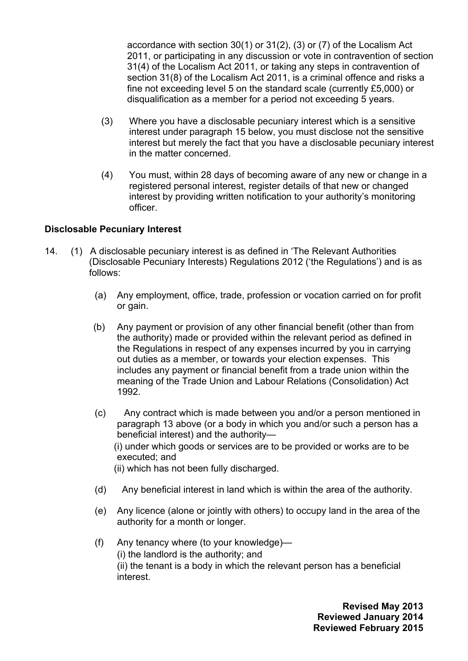accordance with section 30(1) or 31(2), (3) or (7) of the Localism Act 2011, or participating in any discussion or vote in contravention of section 31(4) of the Localism Act 2011, or taking any steps in contravention of section 31(8) of the Localism Act 2011, is a criminal offence and risks a fine not exceeding level 5 on the standard scale (currently £5,000) or disqualification as a member for a period not exceeding 5 years.

- (3) Where you have a disclosable pecuniary interest which is a sensitive interest under paragraph 15 below, you must disclose not the sensitive interest but merely the fact that you have a disclosable pecuniary interest in the matter concerned.
- (4) You must, within 28 days of becoming aware of any new or change in a registered personal interest, register details of that new or changed interest by providing written notification to your authority's monitoring officer.

#### **Disclosable Pecuniary Interest**

- 14. (1) A disclosable pecuniary interest is as defined in 'The Relevant Authorities (Disclosable Pecuniary Interests) Regulations 2012 ('the Regulations') and is as follows:
	- (a) Any employment, office, trade, profession or vocation carried on for profit or gain.
	- (b) Any payment or provision of any other financial benefit (other than from the authority) made or provided within the relevant period as defined in the Regulations in respect of any expenses incurred by you in carrying out duties as a member, or towards your election expenses. This includes any payment or financial benefit from a trade union within the meaning of the Trade Union and Labour Relations (Consolidation) Act 1992.
	- (c) Any contract which is made between you and/or a person mentioned in paragraph 13 above (or a body in which you and/or such a person has a beneficial interest) and the authority—

 (i) under which goods or services are to be provided or works are to be executed; and

(ii) which has not been fully discharged.

- (d) Any beneficial interest in land which is within the area of the authority.
- (e) Any licence (alone or jointly with others) to occupy land in the area of the authority for a month or longer.
- (f) Any tenancy where (to your knowledge)— (i) the landlord is the authority; and (ii) the tenant is a body in which the relevant person has a beneficial interest.